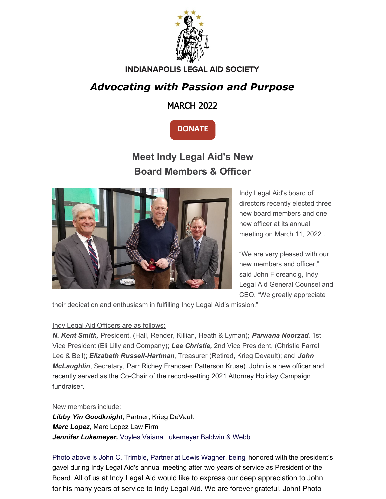

#### **INDIANAPOLIS LEGAL AID SOCIETY**

### *Advocating with Passion and Purpose*

MARCH 2022



## **Meet Indy Legal Aid's New Board Members & Officer**



Indy Legal Aid's board of directors recently elected three new board members and one new officer at its annual meeting on March 11, 2022 .

"We are very pleased with our new members and officer," said John Floreancig, Indy Legal Aid General Counsel and CEO. "We greatly appreciate

their dedication and enthusiasm in fulfilling Indy Legal Aid's mission."

#### Indy Legal Aid Officers are as follows:

*N. Kent Smith,* President, (Hall, Render, Killian, Heath & Lyman); *Parwana Noorzad*, 1st Vice President (Eli Lilly and Company); *Lee Christie,* 2nd Vice President, (Christie Farrell Lee & Bell); *Elizabeth Russell-Hartman*, Treasurer (Retired, Krieg Devault); and *John McLaughlin*, Secretary, Parr Richey Frandsen Patterson Kruse). John is a new officer and recently served as the Co-Chair of the record-setting 2021 Attorney Holiday Campaign fundraiser.

New members include:

*Libby Yin Goodknight*, Partner, Krieg DeVault *Marc Lopez*, Marc Lopez Law Firm *Jennifer Lukemeyer,* Voyles Vaiana [Lukemeyer](https://voyleslegal.com/contributor/jennifer-lukemeyer/) Baldwin & Webb

Photo above is John C. Trimble, Partner at Lewis Wagner, being honored with the president's gavel during Indy Legal Aid's annual meeting after two years of service as President of the Board. All of us at Indy Legal Aid would like to express our deep appreciation to John for his many years of service to Indy Legal Aid. We are forever grateful, John! Photo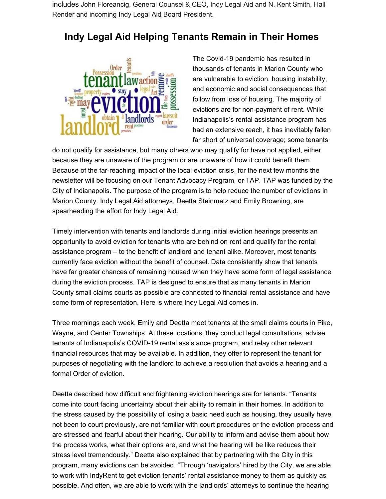includes John Floreancig, General Counsel & CEO, Indy Legal Aid and N. Kent Smith, Hall Render and incoming Indy Legal Aid Board President.

#### **Indy Legal Aid Helping Tenants Remain in Their Homes**



The Covid-19 pandemic has resulted in thousands of tenants in Marion County who are vulnerable to eviction, housing instability, and economic and social consequences that follow from loss of housing. The majority of evictions are for non-payment of rent. While Indianapolis's rental assistance program has had an extensive reach, it has inevitably fallen far short of universal coverage; some tenants

do not qualify for assistance, but many others who may qualify for have not applied, either because they are unaware of the program or are unaware of how it could benefit them. Because of the far-reaching impact of the local eviction crisis, for the next few months the newsletter will be focusing on our Tenant Advocacy Program, or TAP. TAP was funded by the City of Indianapolis. The purpose of the program is to help reduce the number of evictions in Marion County. Indy Legal Aid attorneys, Deetta Steinmetz and Emily Browning, are spearheading the effort for Indy Legal Aid.

Timely intervention with tenants and landlords during initial eviction hearings presents an opportunity to avoid eviction for tenants who are behind on rent and qualify for the rental assistance program – to the benefit of landlord and tenant alike. Moreover, most tenants currently face eviction without the benefit of counsel. Data consistently show that tenants have far greater chances of remaining housed when they have some form of legal assistance during the eviction process. TAP is designed to ensure that as many tenants in Marion County small claims courts as possible are connected to financial rental assistance and have some form of representation. Here is where Indy Legal Aid comes in.

Three mornings each week, Emily and Deetta meet tenants at the small claims courts in Pike, Wayne, and Center Townships. At these locations, they conduct legal consultations, advise tenants of Indianapolis's COVID-19 rental assistance program, and relay other relevant financial resources that may be available. In addition, they offer to represent the tenant for purposes of negotiating with the landlord to achieve a resolution that avoids a hearing and a formal Order of eviction.

Deetta described how difficult and frightening eviction hearings are for tenants. "Tenants come into court facing uncertainty about their ability to remain in their homes. In addition to the stress caused by the possibility of losing a basic need such as housing, they usually have not been to court previously, are not familiar with court procedures or the eviction process and are stressed and fearful about their hearing. Our ability to inform and advise them about how the process works, what their options are, and what the hearing will be like reduces their stress level tremendously." Deetta also explained that by partnering with the City in this program, many evictions can be avoided. "Through 'navigators' hired by the City, we are able to work with IndyRent to get eviction tenants' rental assistance money to them as quickly as possible. And often, we are able to work with the landlords' attorneys to continue the hearing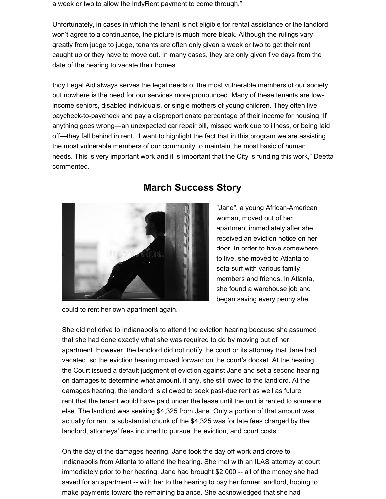a week or two to allow the IndyRent payment to come through."

Unfortunately, in cases in which the tenant is not eligible for rental assistance or the landlord won't agree to a continuance, the picture is much more bleak. Although the rulings vary greatly from judge to judge, tenants are often only given a week or two to get their rent caught up or they have to move out. In many cases, they are only given five days from the date of the hearing to vacate their homes.

Indy Legal Aid always serves the legal needs of the most vulnerable members of our society, but nowhere is the need for our services more pronounced. Many of these tenants are lowincome seniors, disabled individuals, or single mothers of young children. They often live paycheck-to-paycheck and pay a disproportionate percentage of their income for housing. If anything goes wrong—an unexpected car repair bill, missed work due to illness, or being laid off—they fall behind in rent. "I want to highlight the fact that in this program we are assisting the most vulnerable members of our community to maintain the most basic of human needs. This is very important work and it is important that the City is funding this work," Deetta commented.



#### **March Success Story**

"Jane", a young African-American woman, moved out of her apartment immediately after she received an eviction notice on her door. In order to have somewhere to live, she moved to Atlanta to sofa-surf with various family members and friends. In Atlanta, she found a warehouse job and began saving every penny she

could to rent her own apartment again.

She did not drive to Indianapolis to attend the eviction hearing because she assumed that she had done exactly what she was required to do by moving out of her apartment. However, the landlord did not notify the court or its attorney that Jane had vacated, so the eviction hearing moved forward on the court's docket. At the hearing, the Court issued a default judgment of eviction against Jane and set a second hearing on damages to determine what amount, if any, she still owed to the landlord. At the damages hearing, the landlord is allowed to seek past-due rent as well as future rent that the tenant would have paid under the lease until the unit is rented to someone else. The landlord was seeking \$4,325 from Jane. Only a portion of that amount was actually for rent; a substantial chunk of the \$4,325 was for late fees charged by the landlord, attorneys' fees incurred to pursue the eviction, and court costs.

On the day of the damages hearing, Jane took the day off work and drove to Indianapolis from Atlanta to attend the hearing. She met with an ILAS attorney at court immediately prior to her hearing. Jane had brought \$2,000 -- all of the money she had saved for an apartment -- with her to the hearing to pay her former landlord, hoping to make payments toward the remaining balance. She acknowledged that she had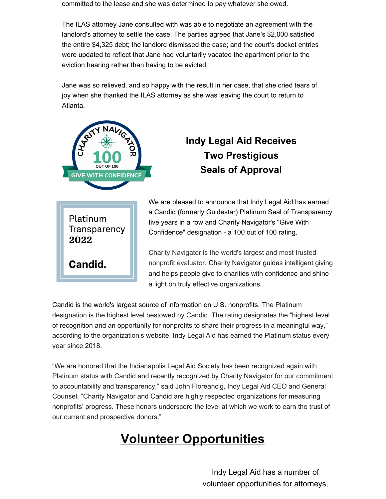committed to the lease and she was determined to pay whatever she owed.

The ILAS attorney Jane consulted with was able to negotiate an agreement with the landlord's attorney to settle the case. The parties agreed that Jane's \$2,000 satisfied the entire \$4,325 debt; the landlord dismissed the case; and the court's docket entries were updated to reflect that Jane had voluntarily vacated the apartment prior to the eviction hearing rather than having to be evicted.

Jane was so relieved, and so happy with the result in her case, that she cried tears of joy when she thanked the ILAS attorney as she was leaving the court to return to Atlanta.



## **Indy Legal Aid Receives Two Prestigious Seals of Approval**

Platinum Transparency 2022 Candid.

We are pleased to announce that Indy Legal Aid has earned a Candid (formerly Guidestar) Platinum Seal of Transparency five years in a row and Charity Navigator's "Give With Confidence" designation - a 100 out of 100 rating.

Charity Navigator is the world's largest and most trusted nonprofit evaluator. Charity Navigator guides intelligent giving and helps people give to charities with confidence and shine a light on truly effective organizations.

Candid is the world's largest source of information on U.S. nonprofits. The Platinum designation is the highest level bestowed by Candid. The rating designates the "highest level of recognition and an opportunity for nonprofits to share their progress in a meaningful way," according to the organization's website. Indy Legal Aid has earned the Platinum status every year since 2018.

"We are honored that the Indianapolis Legal Aid Society has been recognized again with Platinum status with Candid and recently recognized by Charity Navigator for our commitment to accountability and transparency," said John Floreancig, Indy Legal Aid CEO and General Counsel. "Charity Navigator and Candid are highly respected organizations for measuring nonprofits' progress. These honors underscore the level at which we work to earn the trust of our current and prospective donors."

# **Volunteer Opportunities**

Indy Legal Aid has a number of volunteer opportunities for attorneys,